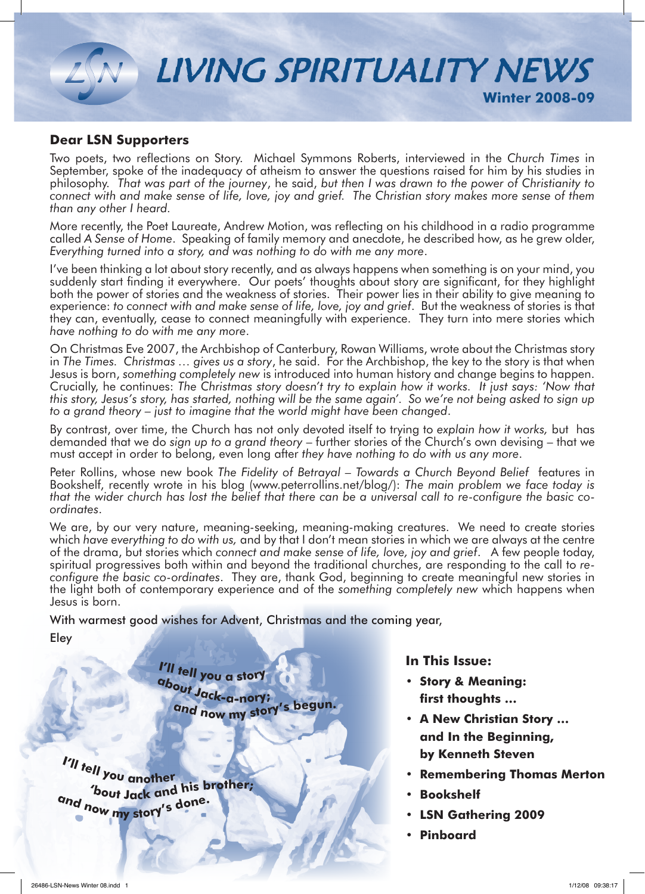

#### **Dear LSN Supporters**

Two poets, two reflections on Story. Michael Symmons Roberts, interviewed in the *Church Times* in September, spoke of the inadequacy of atheism to answer the questions raised for him by his studies in philosophy. *That was part of the journey*, he said, *but then I was drawn to the power of Christianity to connect with and make sense of life, love, joy and grief. The Christian story makes more sense of them than any other I heard.*

More recently, the Poet Laureate, Andrew Motion, was reflecting on his childhood in a radio programme called *A Sense of Home*. Speaking of family memory and anecdote, he described how, as he grew older, *Everything turned into a story, and was nothing to do with me any more*.

I've been thinking a lot about story recently, and as always happens when something is on your mind, you suddenly start finding it everywhere. Our poets' thoughts about story are significant, for they highlight both the power of stories and the weakness of stories. Their power lies in their ability to give meaning to experience: *to connect with and make sense of life, love, joy and grief*. But the weakness of stories is that they can, eventually, cease to connect meaningfully with experience. They turn into mere stories which *have nothing to do with me any more*.

On Christmas Eve 2007, the Archbishop of Canterbury, Rowan Williams, wrote about the Christmas story in *The Times. Christmas … gives us a story*, he said. For the Archbishop, the key to the story is that when Jesus is born, *something completely new* is introduced into human history and change begins to happen. Crucially, he continues: *The Christmas story doesn't try to explain how it works. It just says: 'Now that this story, Jesus's story, has started, nothing will be the same again'. So we're not being asked to sign up to a grand theory – just to imagine that the world might have been changed*.

By contrast, over time, the Church has not only devoted itself to trying to *explain how it works,* but has demanded that we do *sign up to a grand theory* – further stories of the Church's own devising – that we must accept in order to belong, even long after *they have nothing to do with us any more*.

Peter Rollins, whose new book *The Fidelity of Betrayal – Towards a Church Beyond Belief* features in Bookshelf, recently wrote in his blog (www.peterrollins.net/blog/): *The main problem we face today is that the wider church has lost the belief that there can be a universal call to re-configure the basic coordinates*.

We are, by our very nature, meaning-seeking, meaning-making creatures. We need to create stories which *have everything to do with us,* and by that I don't mean stories in which we are always at the centre of the drama, but stories which *connect and make sense of life, love, joy and grief*. A few people today, spiritual progressives both within and beyond the traditional churches, are responding to the call to *reconfigure the basic co-ordinates*. They are, thank God, beginning to create meaningful new stories in the light both of contemporary experience and of the *something completely new* which happens when Jesus is born.

With warmest good wishes for Advent, Christmas and the coming year, Eley

> **<sup>I</sup>'l<sup>l</sup> <sup>t</sup>el<sup>l</sup> <sup>y</sup>o<sup>u</sup> <sup>a</sup> <sup>s</sup>to<sup>r</sup><sup>y</sup> <sup>a</sup>bou<sup>t</sup> <sup>J</sup>ack-a-no<sup>r</sup>y; <sup>a</sup>n<sup>d</sup> <sup>n</sup>o<sup>w</sup> <sup>m</sup><sup>y</sup> <sup>s</sup>tory'<sup>s</sup> <sup>b</sup>egun.**

**<sup>I</sup>'l<sup>l</sup> <sup>t</sup>el<sup>l</sup> <sup>y</sup>o<sup>u</sup> <sup>a</sup>nothe<sup>r</sup> 'bou<sup>t</sup> <sup>J</sup>a<sup>c</sup><sup>k</sup> <sup>a</sup><sup>n</sup><sup>d</sup> <sup>h</sup>i<sup>s</sup> <sup>b</sup>rother; <sup>a</sup>n<sup>d</sup> <sup>n</sup>o<sup>w</sup> <sup>m</sup><sup>y</sup> <sup>s</sup>to<sup>r</sup>y'<sup>s</sup> <sup>d</sup>one.**

**In This Issue:**

- **• Story & Meaning: first thoughts …**
- **• A New Christian Story … and In the Beginning, by Kenneth Steven**
- **Remembering Thomas Merton**
- **Bookshelf**
- **• LSN Gathering 2009**
- **Pinboard**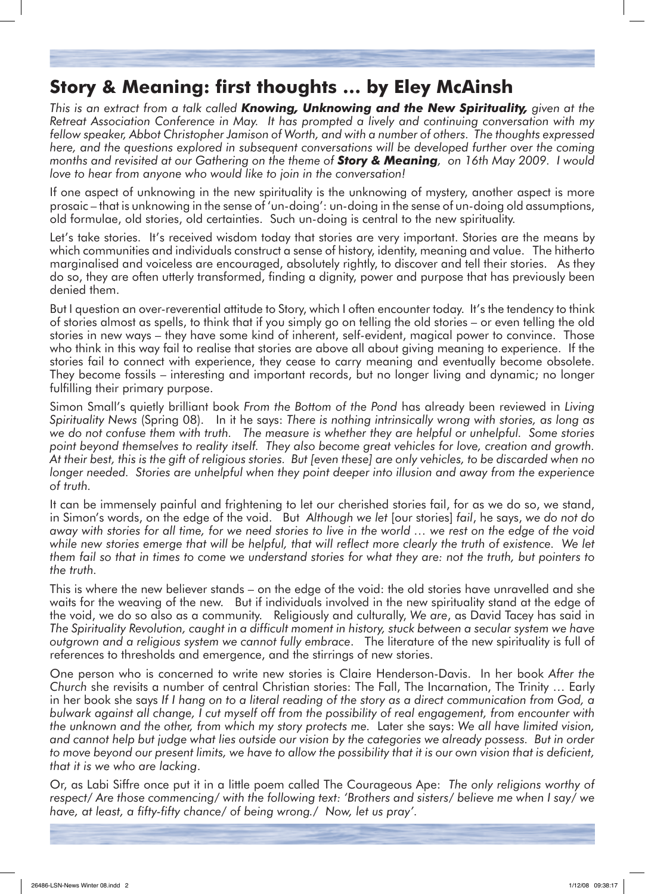# **Story & Meaning: first thoughts … by Eley McAinsh**

*This is an extract from a talk called Knowing, Unknowing and the New Spirituality, given at the Retreat Association Conference in May. It has prompted a lively and continuing conversation with my fellow speaker, Abbot Christopher Jamison of Worth, and with a number of others. The thoughts expressed here, and the questions explored in subsequent conversations will be developed further over the coming months and revisited at our Gathering on the theme of Story & Meaning, on 16th May 2009. I would love to hear from anyone who would like to join in the conversation!*

If one aspect of unknowing in the new spirituality is the unknowing of mystery, another aspect is more prosaic – that is unknowing in the sense of 'un-doing': un-doing in the sense of un-doing old assumptions, old formulae, old stories, old certainties. Such un-doing is central to the new spirituality.

Let's take stories. It's received wisdom today that stories are very important. Stories are the means by which communities and individuals construct a sense of history, identity, meaning and value. The hitherto marginalised and voiceless are encouraged, absolutely rightly, to discover and tell their stories. As they do so, they are often utterly transformed, finding a dignity, power and purpose that has previously been denied them.

But I question an over-reverential attitude to Story, which I often encounter today. It's the tendency to think of stories almost as spells, to think that if you simply go on telling the old stories – or even telling the old stories in new ways – they have some kind of inherent, self-evident, magical power to convince. Those who think in this way fail to realise that stories are above all about giving meaning to experience. If the stories fail to connect with experience, they cease to carry meaning and eventually become obsolete. They become fossils – interesting and important records, but no longer living and dynamic; no longer fulfilling their primary purpose.

Simon Small's quietly brilliant book *From the Bottom of the Pond* has already been reviewed in *Living Spirituality News* (Spring 08). In it he says: *There is nothing intrinsically wrong with stories, as long as we do not confuse them with truth. The measure is whether they are helpful or unhelpful. Some stories point beyond themselves to reality itself. They also become great vehicles for love, creation and growth. At their best, this is the gift of religious stories. But [even these] are only vehicles, to be discarded when no*  longer needed. Stories are unhelpful when they point deeper into illusion and away from the experience *of truth.*

It can be immensely painful and frightening to let our cherished stories fail, for as we do so, we stand, in Simon's words, on the edge of the void. But *Although we let* [our stories] *fail*, he says, *we do not do away with stories for all time, for we need stories to live in the world … we rest on the edge of the void while new stories emerge that will be helpful, that will reflect more clearly the truth of existence. We let them fail so that in times to come we understand stories for what they are: not the truth, but pointers to the truth.*

This is where the new believer stands – on the edge of the void: the old stories have unravelled and she waits for the weaving of the new. But if individuals involved in the new spirituality stand at the edge of the void, we do so also as a community. Religiously and culturally, *We are*, as David Tacey has said in *The Spirituality Revolution, caught in a difficult moment in history, stuck between a secular system we have outgrown and a religious system we cannot fully embrace*. The literature of the new spirituality is full of references to thresholds and emergence, and the stirrings of new stories.

One person who is concerned to write new stories is Claire Henderson-Davis. In her book *After the Church* she revisits a number of central Christian stories: The Fall, The Incarnation, The Trinity … Early in her book she says *If I hang on to a literal reading of the story as a direct communication from God, a bulwark against all change, I cut myself off from the possibility of real engagement, from encounter with the unknown and the other, from which my story protects me.* Later she says: *We all have limited vision, and cannot help but judge what lies outside our vision by the categories we already possess. But in order to move beyond our present limits, we have to allow the possibility that it is our own vision that is deficient, that it is we who are lacking*.

Or, as Labi Siffre once put it in a little poem called The Courageous Ape: *The only religions worthy of respect/ Are those commencing/ with the following text: 'Brothers and sisters/ believe me when I say/ we have, at least, a fifty-fifty chance/ of being wrong./ Now, let us pray'.*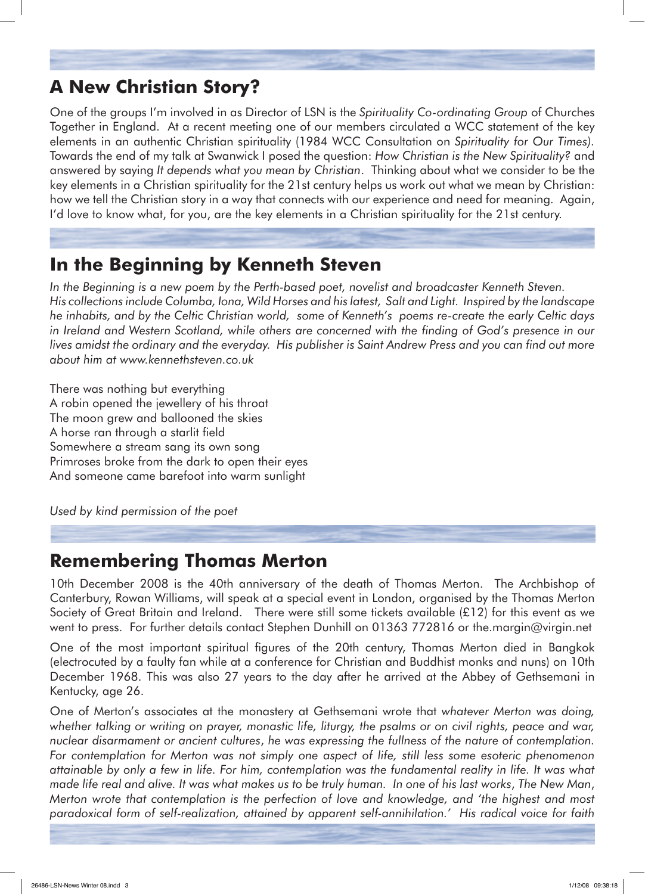# **A New Christian Story?**

One of the groups I'm involved in as Director of LSN is the *Spirituality Co-ordinating Group* of Churches Together in England. At a recent meeting one of our members circulated a WCC statement of the key elements in an authentic Christian spirituality (1984 WCC Consultation on *Spirituality for Our Times).* Towards the end of my talk at Swanwick I posed the question: *How Christian is the New Spirituality?* and answered by saying *It depends what you mean by Christian*. Thinking about what we consider to be the key elements in a Christian spirituality for the 21st century helps us work out what we mean by Christian: how we tell the Christian story in a way that connects with our experience and need for meaning. Again, I'd love to know what, for you, are the key elements in a Christian spirituality for the 21st century.

## **In the Beginning by Kenneth Steven**

*In the Beginning is a new poem by the Perth-based poet, novelist and broadcaster Kenneth Steven. His collections include Columba, Iona, Wild Horses and his latest, Salt and Light. Inspired by the landscape he inhabits, and by the Celtic Christian world, some of Kenneth's poems re-create the early Celtic days in Ireland and Western Scotland, while others are concerned with the finding of God's presence in our lives amidst the ordinary and the everyday. His publisher is Saint Andrew Press and you can find out more about him at www.kennethsteven.co.uk* 

There was nothing but everything A robin opened the jewellery of his throat The moon grew and ballooned the skies A horse ran through a starlit field Somewhere a stream sang its own song Primroses broke from the dark to open their eyes And someone came barefoot into warm sunlight

*Used by kind permission of the poet*

## **Remembering Thomas Merton**

10th December 2008 is the 40th anniversary of the death of Thomas Merton. The Archbishop of Canterbury, Rowan Williams, will speak at a special event in London, organised by the Thomas Merton Society of Great Britain and Ireland. There were still some tickets available (£12) for this event as we went to press. For further details contact Stephen Dunhill on 01363 772816 or the.margin@virgin.net

One of the most important spiritual figures of the 20th century, Thomas Merton died in Bangkok (electrocuted by a faulty fan while at a conference for Christian and Buddhist monks and nuns) on 10th December 1968. This was also 27 years to the day after he arrived at the Abbey of Gethsemani in Kentucky, age 26.

One of Merton's associates at the monastery at Gethsemani wrote that *whatever Merton was doing, whether talking or writing on prayer, monastic life, liturgy, the psalms or on civil rights, peace and war, nuclear disarmament or ancient cultures*, *he was expressing the fullness of the nature of contemplation. For contemplation for Merton was not simply one aspect of life, still less some esoteric phenomenon attainable by only a few in life. For him, contemplation was the fundamental reality in life. It was what made life real and alive. It was what makes us to be truly human. In one of his last works*, *The New Man*, *Merton wrote that contemplation is the perfection of love and knowledge, and 'the highest and most paradoxical form of self-realization, attained by apparent self-annihilation.' His radical voice for faith*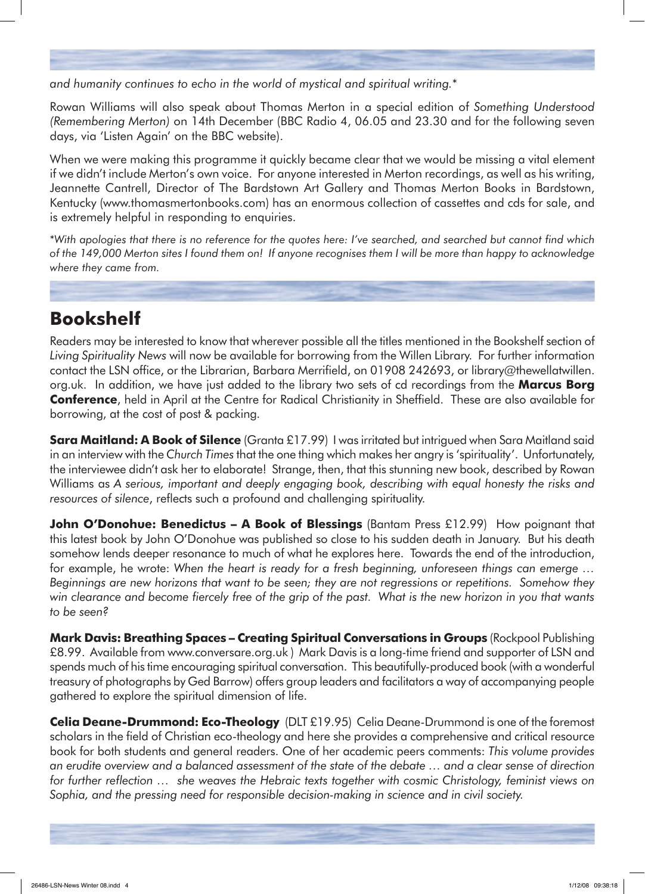*and humanity continues to echo in the world of mystical and spiritual writing.*\*

Rowan Williams will also speak about Thomas Merton in a special edition of *Something Understood (Remembering Merton)* on 14th December (BBC Radio 4, 06.05 and 23.30 and for the following seven days, via 'Listen Again' on the BBC website).

When we were making this programme it quickly became clear that we would be missing a vital element if we didn't include Merton's own voice. For anyone interested in Merton recordings, as well as his writing, Jeannette Cantrell, Director of The Bardstown Art Gallery and Thomas Merton Books in Bardstown, Kentucky (www.thomasmertonbooks.com) has an enormous collection of cassettes and cds for sale, and is extremely helpful in responding to enquiries.

\**With apologies that there is no reference for the quotes here: I've searched, and searched but cannot find which of the 149,000 Merton sites I found them on! If anyone recognises them I will be more than happy to acknowledge where they came from.*

# **Bookshelf**

Readers may be interested to know that wherever possible all the titles mentioned in the Bookshelf section of *Living Spirituality News* will now be available for borrowing from the Willen Library. For further information contact the LSN office, or the Librarian, Barbara Merrifield, on 01908 242693, or library@thewellatwillen. org.uk. In addition, we have just added to the library two sets of cd recordings from the **Marcus Borg Conference**, held in April at the Centre for Radical Christianity in Sheffield. These are also available for borrowing, at the cost of post & packing.

**Sara Maitland: A Book of Silence** (Granta £17.99) I was irritated but intrigued when Sara Maitland said in an interview with the *Church Times* that the one thing which makes her angry is 'spirituality'. Unfortunately, the interviewee didn't ask her to elaborate! Strange, then, that this stunning new book, described by Rowan Williams as *A serious, important and deeply engaging book, describing with equal honesty the risks and resources of silence*, reflects such a profound and challenging spirituality.

**John O'Donohue: Benedictus – A Book of Blessings** (Bantam Press £12.99) How poignant that this latest book by John O'Donohue was published so close to his sudden death in January. But his death somehow lends deeper resonance to much of what he explores here. Towards the end of the introduction, for example, he wrote: *When the heart is ready for a fresh beginning, unforeseen things can emerge … Beginnings are new horizons that want to be seen; they are not regressions or repetitions. Somehow they win clearance and become fiercely free of the grip of the past. What is the new horizon in you that wants to be seen?*

**Mark Davis: Breathing Spaces – Creating Spiritual Conversations in Groups** (Rockpool Publishing £8.99. Available from www.conversare.org.uk ) Mark Davis is a long-time friend and supporter of LSN and spends much of his time encouraging spiritual conversation. This beautifully-produced book (with a wonderful treasury of photographs by Ged Barrow) offers group leaders and facilitators a way of accompanying people gathered to explore the spiritual dimension of life.

**Celia Deane-Drummond: Eco-Theology** (DLT £19.95) Celia Deane-Drummond is one of the foremost scholars in the field of Christian eco-theology and here she provides a comprehensive and critical resource book for both students and general readers. One of her academic peers comments: *This volume provides an erudite overview and a balanced assessment of the state of the debate … and a clear sense of direction for further reflection … she weaves the Hebraic texts together with cosmic Christology, feminist views on Sophia, and the pressing need for responsible decision-making in science and in civil society.*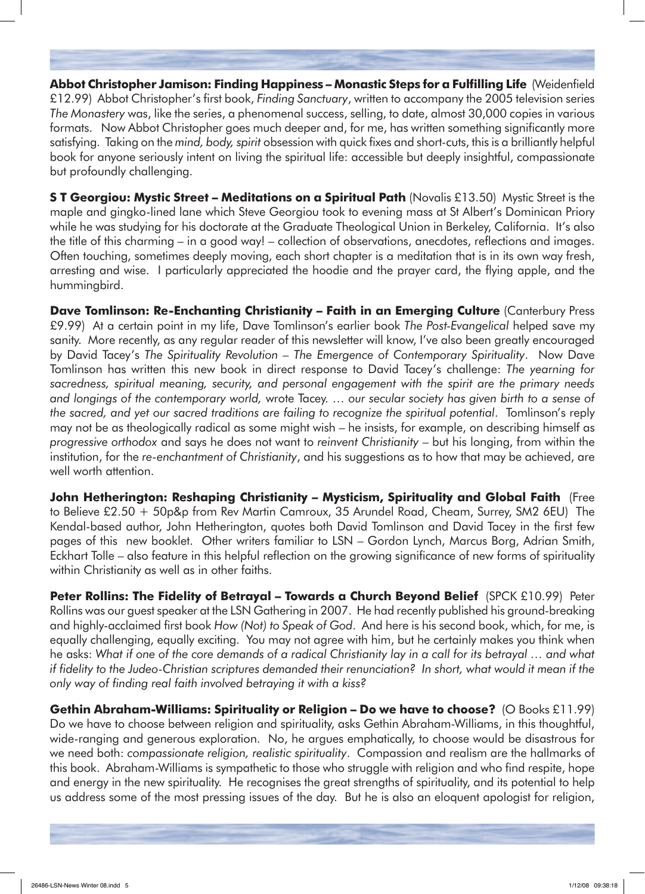**Abbot Christopher Jamison: Finding Happiness – Monastic Steps for a Fulfilling Life** (Weidenfield £12.99) Abbot Christopher's first book, *Finding Sanctuary*, written to accompany the 2005 television series *The Monastery* was, like the series, a phenomenal success, selling, to date, almost 30,000 copies in various formats. Now Abbot Christopher goes much deeper and, for me, has written something significantly more satisfying. Taking on the *mind, body, spirit* obsession with quick fixes and short-cuts, this is a brilliantly helpful book for anyone seriously intent on living the spiritual life: accessible but deeply insightful, compassionate but profoundly challenging.

**S T Georgiou: Mystic Street – Meditations on a Spiritual Path** (Novalis £13.50) Mystic Street is the maple and gingko-lined lane which Steve Georgiou took to evening mass at St Albert's Dominican Priory while he was studying for his doctorate at the Graduate Theological Union in Berkeley, California. It's also the title of this charming – in a good way! – collection of observations, anecdotes, reflections and images. Often touching, sometimes deeply moving, each short chapter is a meditation that is in its own way fresh, arresting and wise. I particularly appreciated the hoodie and the prayer card, the flying apple, and the hummingbird.

**Dave Tomlinson: Re-Enchanting Christianity – Faith in an Emerging Culture** (Canterbury Press £9.99) At a certain point in my life, Dave Tomlinson's earlier book *The Post-Evangelical* helped save my sanity. More recently, as any regular reader of this newsletter will know, I've also been greatly encouraged by David Tacey's *The Spirituality Revolution – The Emergence of Contemporary Spirituality*. Now Dave Tomlinson has written this new book in direct response to David Tacey's challenge: *The yearning for sacredness, spiritual meaning, security, and personal engagement with the spirit are the primary needs and longings of the contemporary world,* wrote Tacey. … *our secular society has given birth to a sense of the sacred, and yet our sacred traditions are failing to recognize the spiritual potential*. Tomlinson's reply may not be as theologically radical as some might wish – he insists, for example, on describing himself as *progressive orthodox* and says he does not want to *reinvent Christianity* – but his longing, from within the institution, for the *re-enchantment of Christianity*, and his suggestions as to how that may be achieved, are well worth attention.

**John Hetherington: Reshaping Christianity – Mysticism, Spirituality and Global Faith** (Free to Believe £2.50 + 50p&p from Rev Martin Camroux, 35 Arundel Road, Cheam, Surrey, SM2 6EU) The Kendal-based author, John Hetherington, quotes both David Tomlinson and David Tacey in the first few pages of this new booklet. Other writers familiar to LSN – Gordon Lynch, Marcus Borg, Adrian Smith, Eckhart Tolle – also feature in this helpful reflection on the growing significance of new forms of spirituality within Christianity as well as in other faiths.

**Peter Rollins: The Fidelity of Betrayal – Towards a Church Beyond Belief** (SPCK £10.99) Peter Rollins was our guest speaker at the LSN Gathering in 2007. He had recently published his ground-breaking and highly-acclaimed first book *How (Not) to Speak of God*. And here is his second book, which, for me, is equally challenging, equally exciting. You may not agree with him, but he certainly makes you think when he asks: *What if one of the core demands of a radical Christianity lay in a call for its betrayal … and what if fidelity to the Judeo-Christian scriptures demanded their renunciation? In short, what would it mean if the only way of finding real faith involved betraying it with a kiss?*

**Gethin Abraham-Williams: Spirituality or Religion – Do we have to choose?** (O Books £11.99) Do we have to choose between religion and spirituality, asks Gethin Abraham-Williams, in this thoughtful, wide-ranging and generous exploration. No, he argues emphatically, to choose would be disastrous for we need both: *compassionate religion, realistic spirituality*. Compassion and realism are the hallmarks of this book. Abraham-Williams is sympathetic to those who struggle with religion and who find respite, hope and energy in the new spirituality. He recognises the great strengths of spirituality, and its potential to help us address some of the most pressing issues of the day. But he is also an eloquent apologist for religion,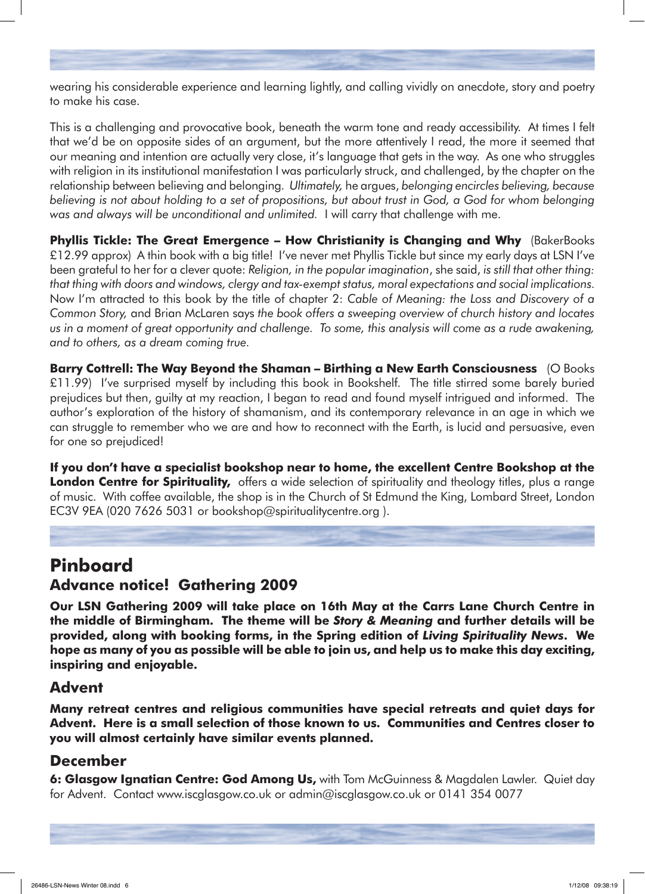wearing his considerable experience and learning lightly, and calling vividly on anecdote, story and poetry to make his case.

This is a challenging and provocative book, beneath the warm tone and ready accessibility. At times I felt that we'd be on opposite sides of an argument, but the more attentively I read, the more it seemed that our meaning and intention are actually very close, it's language that gets in the way. As one who struggles with religion in its institutional manifestation I was particularly struck, and challenged, by the chapter on the relationship between believing and belonging. *Ultimately,* he argues, *belonging encircles believing, because believing is not about holding to a set of propositions, but about trust in God, a God for whom belonging was and always will be unconditional and unlimited.* I will carry that challenge with me.

**Phyllis Tickle: The Great Emergence – How Christianity is Changing and Why** (BakerBooks £12.99 approx) A thin book with a big title! I've never met Phyllis Tickle but since my early days at LSN I've been grateful to her for a clever quote: *Religion, in the popular imagination*, she said, *is still that other thing: that thing with doors and windows, clergy and tax-exempt status, moral expectations and social implications.*  Now I'm attracted to this book by the title of chapter 2: *Cable of Meaning: the Loss and Discovery of a Common Story,* and Brian McLaren says *the book offers a sweeping overview of church history and locates us in a moment of great opportunity and challenge. To some, this analysis will come as a rude awakening, and to others, as a dream coming true.*

**Barry Cottrell: The Way Beyond the Shaman – Birthing a New Earth Consciousness** (O Books £11.99) I've surprised myself by including this book in Bookshelf. The title stirred some barely buried prejudices but then, guilty at my reaction, I began to read and found myself intrigued and informed. The author's exploration of the history of shamanism, and its contemporary relevance in an age in which we can struggle to remember who we are and how to reconnect with the Earth, is lucid and persuasive, even for one so prejudiced!

**If you don't have a specialist bookshop near to home, the excellent Centre Bookshop at the London Centre for Spirituality,** offers a wide selection of spirituality and theology titles, plus a range of music. With coffee available, the shop is in the Church of St Edmund the King, Lombard Street, London EC3V 9EA (020 7626 5031 or bookshop@spiritualitycentre.org ).

# **Pinboard**

## **Advance notice! Gathering 2009**

**Our LSN Gathering 2009 will take place on 16th May at the Carrs Lane Church Centre in the middle of Birmingham. The theme will be** *Story & Meaning* **and further details will be provided, along with booking forms, in the Spring edition of** *Living Spirituality News***. We**  hope as many of you as possible will be able to join us, and help us to make this day exciting, **inspiring and enjoyable.**

#### **Advent**

**Many retreat centres and religious communities have special retreats and quiet days for Advent. Here is a small selection of those known to us. Communities and Centres closer to you will almost certainly have similar events planned.**

#### **December**

**6: Glasgow Ignatian Centre: God Among Us,** with Tom McGuinness & Magdalen Lawler. Quiet day for Advent. Contact www.iscglasgow.co.uk or admin@iscglasgow.co.uk or 0141 354 0077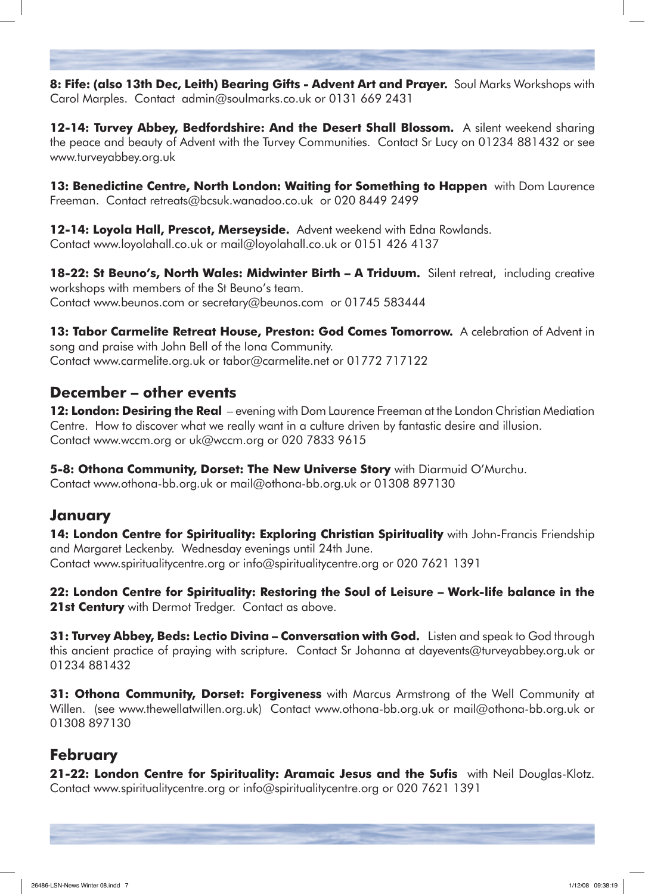**8: Fife: (also 13th Dec, Leith) Bearing Gifts - Advent Art and Prayer.** Soul Marks Workshops with Carol Marples. Contact admin@soulmarks.co.uk or 0131 669 2431

**12-14: Turvey Abbey, Bedfordshire: And the Desert Shall Blossom.** A silent weekend sharing the peace and beauty of Advent with the Turvey Communities. Contact Sr Lucy on 01234 881432 or see www.turveyabbey.org.uk

**13: Benedictine Centre, North London: Waiting for Something to Happen** with Dom Laurence Freeman. Contact retreats@bcsuk.wanadoo.co.uk or 020 8449 2499

**12-14: Loyola Hall, Prescot, Merseyside.** Advent weekend with Edna Rowlands. Contact www.loyolahall.co.uk or mail@loyolahall.co.uk or 0151 426 4137

**18-22: St Beuno's, North Wales: Midwinter Birth – A Triduum.** Silent retreat, including creative workshops with members of the St Beuno's team. Contact www.beunos.com or secretary@beunos.com or 01745 583444

**13: Tabor Carmelite Retreat House, Preston: God Comes Tomorrow.** A celebration of Advent in song and praise with John Bell of the Iona Community. Contact www.carmelite.org.uk or tabor@carmelite.net or 01772 717122

#### **December – other events**

**12: London: Desiring the Real** – evening with Dom Laurence Freeman at the London Christian Mediation Centre. How to discover what we really want in a culture driven by fantastic desire and illusion. Contact www.wccm.org or uk@wccm.org or 020 7833 9615

**5-8: Othona Community, Dorset: The New Universe Story** with Diarmuid O'Murchu.

Contact www.othona-bb.org.uk or mail@othona-bb.org.uk or 01308 897130

#### **January**

**14: London Centre for Spirituality: Exploring Christian Spirituality** with John-Francis Friendship and Margaret Leckenby. Wednesday evenings until 24th June. Contact www.spiritualitycentre.org or info@spiritualitycentre.org or 020 7621 1391

**22: London Centre for Spirituality: Restoring the Soul of Leisure – Work-life balance in the 21st Century** with Dermot Tredger. Contact as above.

**31: Turvey Abbey, Beds: Lectio Divina – Conversation with God.** Listen and speak to God through this ancient practice of praying with scripture. Contact Sr Johanna at dayevents@turveyabbey.org.uk or 01234 881432

**31: Othona Community, Dorset: Forgiveness** with Marcus Armstrong of the Well Community at Willen. (see www.thewellatwillen.org.uk) Contact www.othona-bb.org.uk or mail@othona-bb.org.uk or 01308 897130

#### **February**

**21-22: London Centre for Spirituality: Aramaic Jesus and the Sufis** with Neil Douglas-Klotz. Contact www.spiritualitycentre.org or info@spiritualitycentre.org or 020 7621 1391